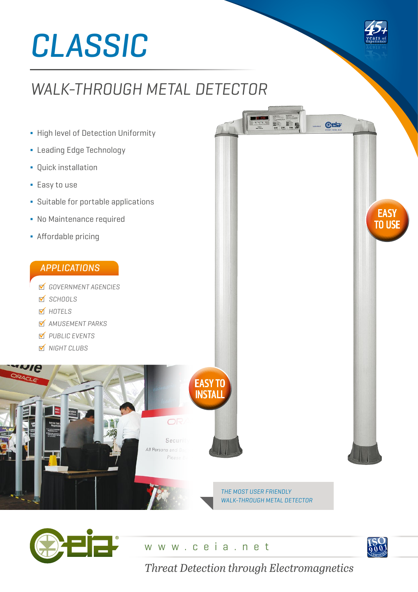# *CLASSIC*

# *WALK-THROUGH METAL DETECTOR*

- **∆** High level of Detection Uniformity
- **∆** Leading Edge Technology
- **∆** Quick installation
- **∆** Easy to use
- **∆** Suitable for portable applications
- **∆** No Maintenance required
- **∆** Affordable pricing

# *APPLICATIONS*

- *GOVERNMENT AGENCIES*
- *SCHOOLS*
- *HOTELS*
- *AMUSEMENT PARKS*
- *PUBLIC EVENTS*
- *NIGHT CLUBS*







**EASY** TO USE

**@eia** 

*Threat Detection through Electromagnetics*

*THE MOST USER FRIENDLY WALK-THROUGH METAL DETECTOR*

www.ceia.net

OR

Securi

All Persons and B. Plager